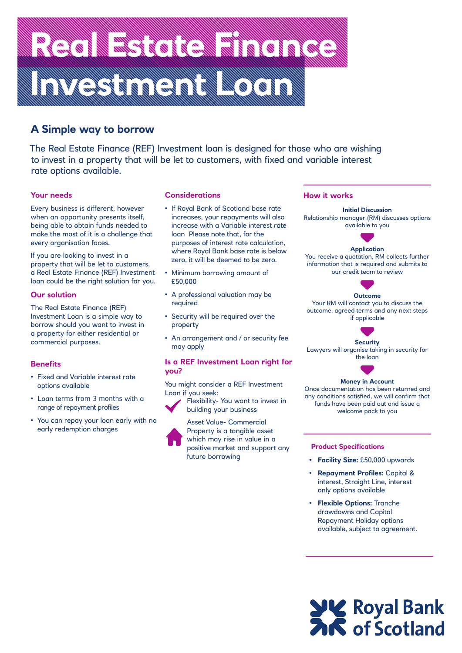## Real Estate Finance of Contains and Containing Texts of Containing Texts of Containing Texts of Containing Texts<br>The Contained Containing Texts of Containing Texts of Containing Texts of Containing Texts of Containing Text **Investment Loan Communication**

### **A Simple way to borrow**

 rate options available. The Real Estate Finance (REF) Investment loan is designed for those who are wishing to invest in a property that will be let to customers, with fixed and variable interest

#### **Your needs**

Every business is different, however when an opportunity presents itself, being able to obtain funds needed to make the most of it is a challenge that every organisation faces.

If you are looking to invest in a property that will be let to customers, a Real Estate Finance (REF) Investment loan could be the right solution for you.

#### **Our solution**

The Real Estate Finance (REF) Investment Loan is a simple way to borrow should you want to invest in a property for either residential or commercial purposes.

#### **Benefits**

- Fixed and Variable interest rate options available
- Loan terms from 3 months with a range of repayment profiles
- You can repay your loan early with no early redemption charges

#### **Considerations**

- If Royal Bank of Scotland base rate increases, your repayments will also increase with a Variable interest rate loan Please note that, for the purposes of interest rate calculation, where Royal Bank base rate is below zero, it will be deemed to be zero.
- Minimum borrowing amount of £50,000
- A professional valuation may be required
- Security will be required over the property
- An arrangement and / or security fee may apply

#### **Is a REF Investment Loan right for you?**

You might consider a REF Investment Loan if you seek:



Flexibility- You want to invest in building your business

Asset Value- Commercial Property is a tangible asset which may rise in value in a positive market and support any future borrowing

#### **How it works**

 available to you **Initial Discussion**  Relationship manager (RM) discusses options



#### **Application**

You receive a quotation, RM collects further information that is required and submits to our credit team to review



Your RM will contact you to discuss the outcome, agreed terms and any next steps if applicable



**Security**  Lawyers will organise taking in security for the loan



#### **Money in Account**

Once documentation has been returned and any conditions satisfied, we will confirm that funds have been paid out and issue a welcome pack to you

#### **Product Specifications**

- **Facility Size:** £50,000 upwards
- **Repayment Profiles:** Capital & interest, Straight Line, interest only options available
- **Flexible Options:** Tranche drawdowns and Capital Repayment Holiday options available, subject to agreement.

# **SIGE Royal Bank**<br>**ZIG** of Scotland